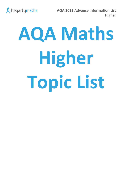

**AQA 2022 Advance Information List Higher**

# **AQA Maths Higher Topic List**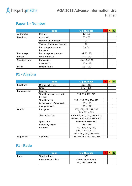

## **Paper 1 - Number**

|                  | <b>Topics</b>                | <b>Clip Number</b> | R | А | G |
|------------------|------------------------------|--------------------|---|---|---|
| Arithmetic       | Decimal                      | $47 - 50$          |   |   |   |
| <b>Fractions</b> | Arithmetic                   | $66 - 70$          |   |   |   |
|                  | Fraction of a number         | 77                 |   |   |   |
|                  | Value as fraction of another | 62                 |   |   |   |
|                  | Recurring decimals as        | 53, 54             |   |   |   |
|                  | fractions                    |                    |   |   |   |
| Percentage       | Percentage as operator       | 84, 85, 86         |   |   |   |
| Indices          | Laws of indices              | $102 - 110$        |   |   |   |
| Standard form    | Conversion                   | 122, 123, 124      |   |   |   |
|                  | Calculation                  | $125 - 128$        |   |   |   |
| Surds            | Simplification               | $113 - 119$        |   |   |   |

# **P1 - Algebra**

|              | <b>Topics</b>               | <b>Clip Number</b>                 | R | A | G |
|--------------|-----------------------------|------------------------------------|---|---|---|
| Equations    | Of a straight line          | $205 - 216$                        |   |   |   |
|              | Linear                      | $176 - 189$                        |   |   |   |
| Manipulation | Identity                    | 154                                |   |   |   |
|              | Simplification of algebraic | 159, 170, 172, 229                 |   |   |   |
|              | fraction                    |                                    |   |   |   |
|              | Simplification              | 156 - 159, 173, 174, 175           |   |   |   |
|              | Factorisation of quadratic  | $223 - 228$                        |   |   |   |
|              | Change subject              | $280 - 287$                        |   |   |   |
| Graphs       | Recognise                   | 205, 208, 209, 251, 257            |   |   |   |
|              |                             | $299, 301 - 305$                   |   |   |   |
|              | Sketch function             | $206 - 209$ , 251, 257, 298 - 305, |   |   |   |
|              |                             | $307 - 313, 878, 879, 898 - 902$   |   |   |   |
|              | Speed time                  | $880 - 886, 890 - 893$             |   |   |   |
|              | Inequality region           | $273 - 276$                        |   |   |   |
|              | Interpret                   | 207, 208, 209, 299,                |   |   |   |
|              |                             | $301, 252 - 257, 713,$             |   |   |   |
|              |                             | $874 - 877, 894, 896 - 902$        |   |   |   |
| Sequences    | Algebraic                   | 196, 197, 198, 262, 263, 264       |   |   |   |

#### **P1 - Ratio**

|       | <b>Topics</b>      | <b>Clip Number</b>     | R | A |  |
|-------|--------------------|------------------------|---|---|--|
| Ratio | Simplest form      | 329                    |   |   |  |
|       | Proportion problem | $339 - 342, 344, 345,$ |   |   |  |
|       |                    | 347, 348, 739 - 742    |   |   |  |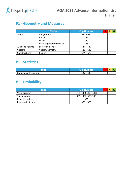

## **P1 - Geometry and Measures**

|                 | <b>Topics</b>              | <b>Clip Number</b> | R | А | G |
|-----------------|----------------------------|--------------------|---|---|---|
| Shape           | Congruence                 | $680 - 690$        |   |   |   |
|                 | Prism                      | 829                |   |   |   |
|                 | Faces                      | 830                |   |   |   |
|                 | Exact trigonometric values | 845                |   |   |   |
| Area and volume | Sector of a circle         | $544 - 547$        |   |   |   |
| <b>Vectors</b>  | Vector geometry            | $628 - 636$        |   |   |   |
| Constructions   | Region                     | $674 - 679$        |   |   |   |

#### **P1 - Statistics**

| <b>CODICS</b>        | <i><b>Clip Number</b></i> |  |  |
|----------------------|---------------------------|--|--|
| Cumulative frequency | 440 –                     |  |  |

# **P1 - Probability**

| <b>Topics</b>      | <b>Clip Number</b>     |  |  |
|--------------------|------------------------|--|--|
| Venn diagram       | $372 - 380, 383 - 388$ |  |  |
| Tree diagram       | $361 - 367, 389, 390$  |  |  |
| Expected value     | 355                    |  |  |
| Independent events | $358 - 363$            |  |  |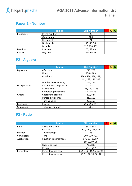

## **Paper 2 - Number**

|            | <b>Topics</b>  | <b>Clip Number</b> | R | А |  |
|------------|----------------|--------------------|---|---|--|
| Properties | Prime number   | 28                 |   |   |  |
|            | Cube number    | 100                |   |   |  |
|            | Reciprocal     | 71                 |   |   |  |
|            | Decimal places | 45, 46, 56         |   |   |  |
|            | <b>Bounds</b>  | 137, 138, 139      |   |   |  |
| Fractions  | Products       | 67, 68, 69         |   |   |  |
| Indices    | Negative       | $104 - 110$        |   |   |  |

## **P2 - Algebra**

|                  | <b>Topics</b>              | <b>Clip Number</b>     | R | A | G |
|------------------|----------------------------|------------------------|---|---|---|
| Equations        | Of a circle                | 778, 779               |   |   |   |
|                  | Linear                     | $176 - 189$            |   |   |   |
|                  | Quadratic                  | $230 - 234, 238, 239,$ |   |   |   |
|                  |                            | 241, 242, 244, 245     |   |   |   |
|                  | Number line inequality     | 265, 266               |   |   |   |
| Manipulation     | Factorisation of quadratic | $223 - 228$            |   |   |   |
|                  | Multiply out               | $158, 160 - 166$       |   |   |   |
|                  | Completing the square      | 235, 236, 237          |   |   |   |
| Graphs           | Coordinate problem         | 200, 824               |   |   |   |
|                  | Perpendicular lines        | 215, 216               |   |   |   |
|                  | Turning point              | 255, 256               |   |   |   |
| <b>Functions</b> | Inverse                    | 295, 296, 297          |   |   |   |
| Sequences        | Triangular number          | 261                    |   |   |   |

#### **P2 - Ratio**

|              | <b>Topics</b>          | <b>Clip Number</b>         | R | А | G |
|--------------|------------------------|----------------------------|---|---|---|
| Ratio        | Share into a ratio     | $332 - 335$                |   |   |   |
|              | On a line              | 200, 330, 331, 332         |   |   |   |
| Fraction     | To percentage          | 76                         |   |   |   |
| Conversions  | Time                   | 709, 710, 711              |   |   |   |
| Applications | Equation to percentage | 176, 82, 83, 87,           |   |   |   |
|              |                        | 89, 90, 97, 98             |   |   |   |
|              | Rate of output         | 738,896                    |   |   |   |
|              | Pressure               | $734 - 737$                |   |   |   |
| Percentage   | Percentage increase    | 90, 91, 92, 94, 96, 97, 98 |   |   |   |
|              | Percentage decrease    | 90, 91, 92, 95, 96, 97     |   |   |   |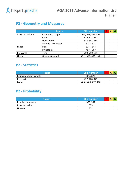

## **P2 - Geometry and Measures**

|                 | <b>Topics</b>       | <b>Clip Number</b>     | R | А |  |
|-----------------|---------------------|------------------------|---|---|--|
| Area and Volume | Compound shape      | 555, 558, 582, 591     |   |   |  |
|                 | Cone                | 576, 577, 587          |   |   |  |
|                 | Hemisphere          | 580, 581, 588          |   |   |  |
|                 | Volume scale factor | $618 - 621$            |   |   |  |
| Shape           | <b>Plan</b>         | $837 - 844$            |   |   |  |
|                 | Pythagoras          | $497 - 507$            |   |   |  |
| <b>Measures</b> | Time                | 709, 710, 711          |   |   |  |
| Other           | Geometric proof     | $628 - 636, 684 - 690$ |   |   |  |

#### **P2 - Statistics**

| <b>Topics</b>                 | <b>Clip Number</b>  | R | А |  |
|-------------------------------|---------------------|---|---|--|
| <b>Estimation from sample</b> | 872.873             |   |   |  |
| Pie chart                     | 427, 428, 429       |   |   |  |
| Mean                          | 405 - 408, 417, 418 |   |   |  |

## **P2 - Probability**

| <b>Topics</b>      | <b>Clip Number</b> | R | Α |  |
|--------------------|--------------------|---|---|--|
| Relative frequency | 356, 357           |   |   |  |
| Expected value     | 355                |   |   |  |
| <b>Notation</b>    | 351                |   |   |  |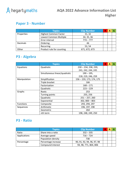

## **Paper 3 - Number**

|                 | <b>Topics</b>                | <b>Clip Number</b> | А |  |
|-----------------|------------------------------|--------------------|---|--|
| Properties      | <b>Highest Common Factor</b> | 31, 32             |   |  |
|                 | Lowest Common Multiple       | 34, 35, 36         |   |  |
|                 | Error interval               | $774 - 777$        |   |  |
| <b>Decimals</b> | Ordering                     | 46                 |   |  |
|                 | Recurring                    | 53, 54             |   |  |
| Other           | Product rule for counting    | 671, 672, 673      |   |  |

## **P3 - Algebra**

|                  | <b>Topics</b>                 | <b>Clip Number</b>       | R | A | G |
|------------------|-------------------------------|--------------------------|---|---|---|
| Equations        | Quadratic                     | $230 - 234, 238, 239,$   |   |   |   |
|                  |                               | 241, 242, 244, 245       |   |   |   |
|                  | Simultaneous linear/quadratic | $190 - 195$              |   |   |   |
|                  |                               | 218, 219, 246, 259       |   |   |   |
| Manipulation     | Simplification                | 156 - 159, 173, 174, 175 |   |   |   |
|                  | Triple bracket                | 166                      |   |   |   |
|                  | Factorisation                 | $168 - 171$              |   |   |   |
|                  | Quadratic                     | $223 - 229$              |   |   |   |
| Graphs           | Roots                         | 253                      |   |   |   |
|                  | Turning points                | 255, 256                 |   |   |   |
|                  | Quadratic                     | $251 - 257, 260$         |   |   |   |
|                  | Exponential                   | $302,800 - 803$          |   |   |   |
| <b>Functions</b> | Composite                     | 293, 294, 297            |   |   |   |
| Sequences        | Arithmetic                    | 196, 197, 198            |   |   |   |
|                  | Geometric                     | 264                      |   |   |   |
|                  | nth term                      | 198, 248, 249, 250       |   |   |   |

#### **P3 - Ratio**

|              | <b>Topics</b>       | <b>Clip Number</b>         |  |  |
|--------------|---------------------|----------------------------|--|--|
| Ratio        | Share into a ratio  | $332 - 335$                |  |  |
| Applications | Average speed       | $716 - 724$                |  |  |
|              | Population density  | 738                        |  |  |
| Percentage   | Percentage increase | 90, 91, 92, 94, 96, 97, 98 |  |  |
|              | Compound interest   | 94, 98, 771, 804, 806      |  |  |